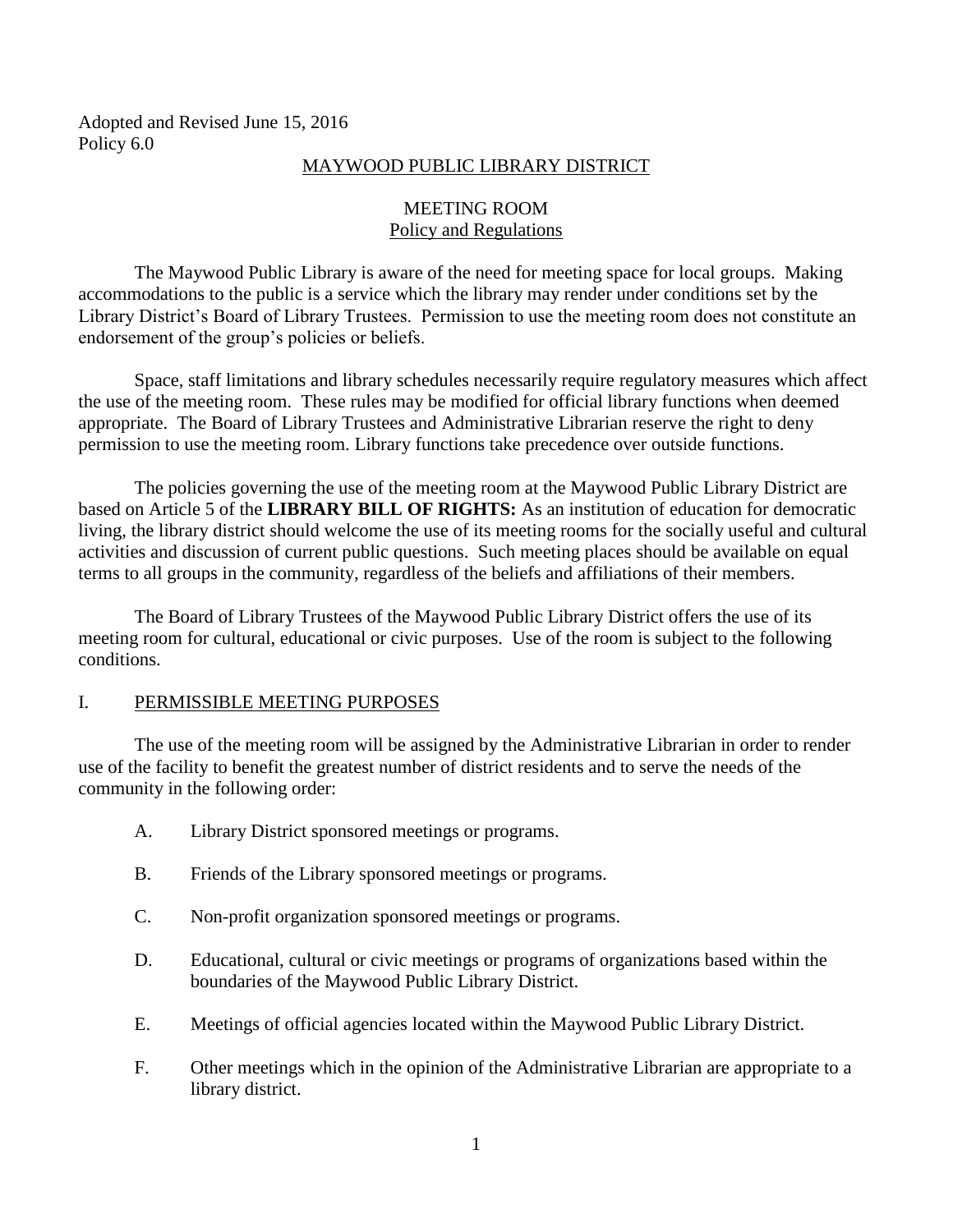Adopted and Revised June 15, 2016 Policy 6.0

#### MAYWOOD PUBLIC LIBRARY DISTRICT

## MEETING ROOM Policy and Regulations

The Maywood Public Library is aware of the need for meeting space for local groups. Making accommodations to the public is a service which the library may render under conditions set by the Library District's Board of Library Trustees. Permission to use the meeting room does not constitute an endorsement of the group's policies or beliefs.

Space, staff limitations and library schedules necessarily require regulatory measures which affect the use of the meeting room. These rules may be modified for official library functions when deemed appropriate. The Board of Library Trustees and Administrative Librarian reserve the right to deny permission to use the meeting room. Library functions take precedence over outside functions.

The policies governing the use of the meeting room at the Maywood Public Library District are based on Article 5 of the **LIBRARY BILL OF RIGHTS:** As an institution of education for democratic living, the library district should welcome the use of its meeting rooms for the socially useful and cultural activities and discussion of current public questions. Such meeting places should be available on equal terms to all groups in the community, regardless of the beliefs and affiliations of their members.

The Board of Library Trustees of the Maywood Public Library District offers the use of its meeting room for cultural, educational or civic purposes. Use of the room is subject to the following conditions.

## I. PERMISSIBLE MEETING PURPOSES

The use of the meeting room will be assigned by the Administrative Librarian in order to render use of the facility to benefit the greatest number of district residents and to serve the needs of the community in the following order:

- A. Library District sponsored meetings or programs.
- B. Friends of the Library sponsored meetings or programs.
- C. Non-profit organization sponsored meetings or programs.
- D. Educational, cultural or civic meetings or programs of organizations based within the boundaries of the Maywood Public Library District.
- E. Meetings of official agencies located within the Maywood Public Library District.
- F. Other meetings which in the opinion of the Administrative Librarian are appropriate to a library district.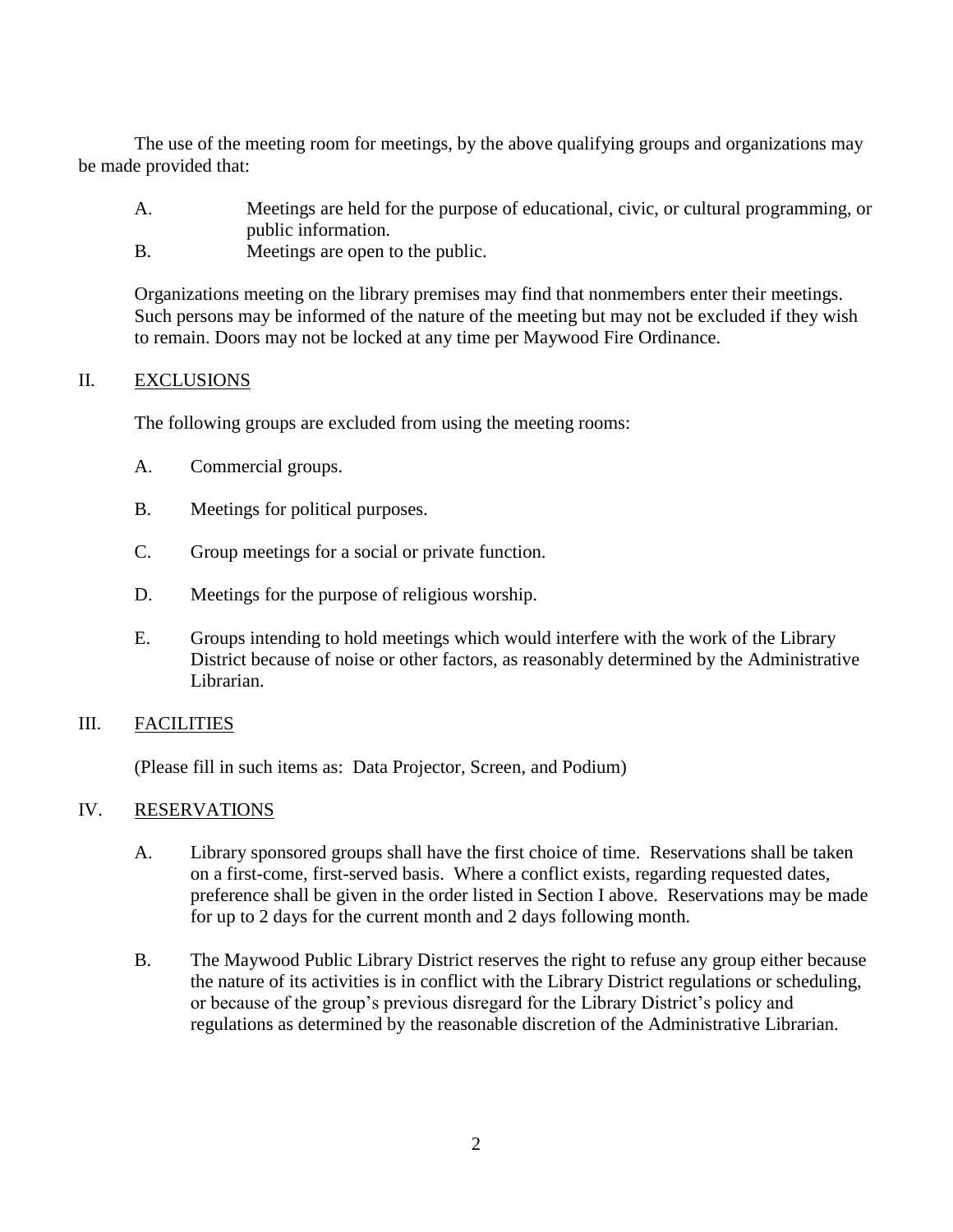The use of the meeting room for meetings, by the above qualifying groups and organizations may be made provided that:

- A. Meetings are held for the purpose of educational, civic, or cultural programming, or public information.
- B. Meetings are open to the public.

Organizations meeting on the library premises may find that nonmembers enter their meetings. Such persons may be informed of the nature of the meeting but may not be excluded if they wish to remain. Doors may not be locked at any time per Maywood Fire Ordinance.

#### II. EXCLUSIONS

The following groups are excluded from using the meeting rooms:

- A. Commercial groups.
- B. Meetings for political purposes.
- C. Group meetings for a social or private function.
- D. Meetings for the purpose of religious worship.
- E. Groups intending to hold meetings which would interfere with the work of the Library District because of noise or other factors, as reasonably determined by the Administrative Librarian.

## III. FACILITIES

(Please fill in such items as: Data Projector, Screen, and Podium)

## IV. RESERVATIONS

- A. Library sponsored groups shall have the first choice of time. Reservations shall be taken on a first-come, first-served basis. Where a conflict exists, regarding requested dates, preference shall be given in the order listed in Section I above. Reservations may be made for up to 2 days for the current month and 2 days following month.
- B. The Maywood Public Library District reserves the right to refuse any group either because the nature of its activities is in conflict with the Library District regulations or scheduling, or because of the group's previous disregard for the Library District's policy and regulations as determined by the reasonable discretion of the Administrative Librarian.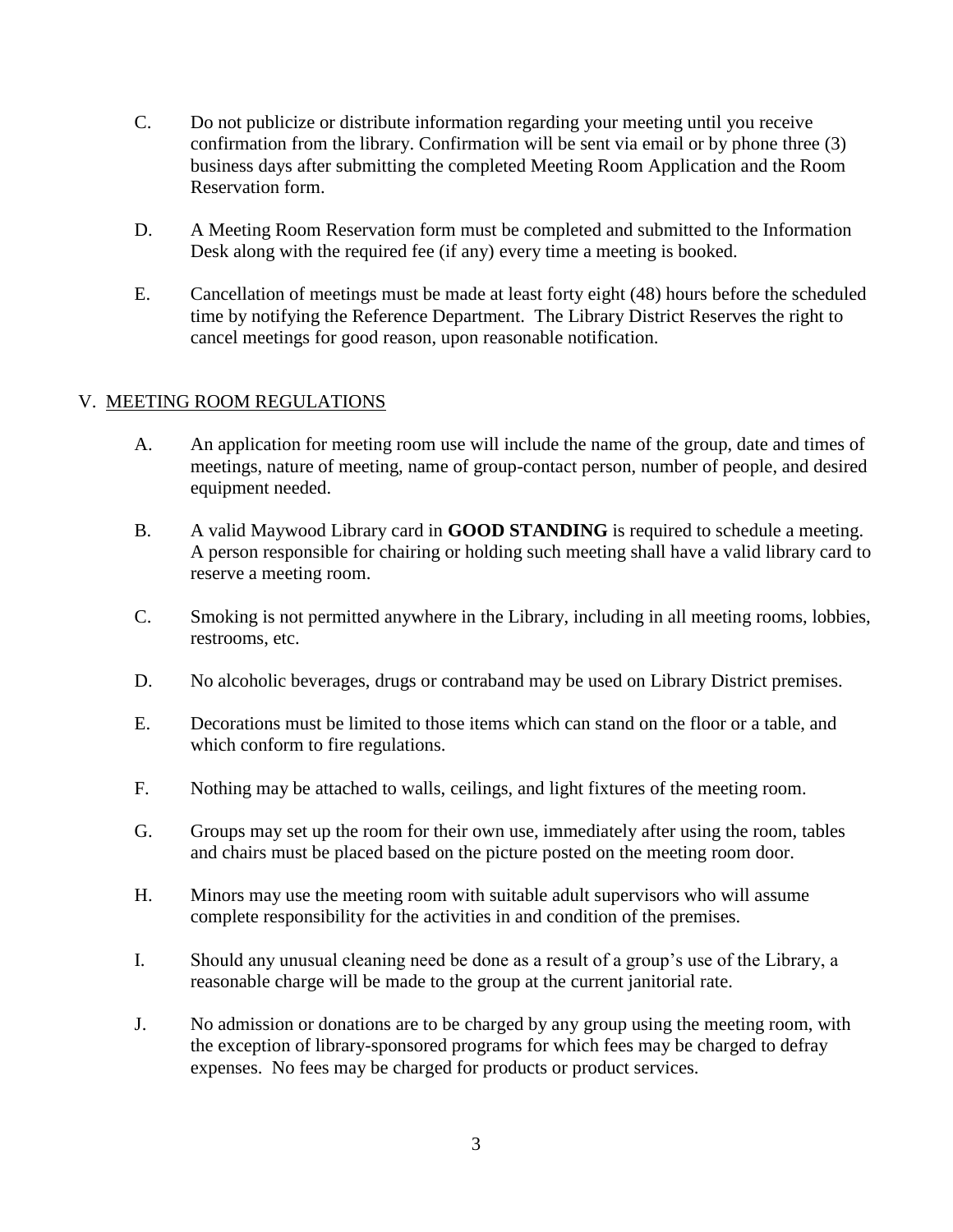- C. Do not publicize or distribute information regarding your meeting until you receive confirmation from the library. Confirmation will be sent via email or by phone three (3) business days after submitting the completed Meeting Room Application and the Room Reservation form.
- D. A Meeting Room Reservation form must be completed and submitted to the Information Desk along with the required fee (if any) every time a meeting is booked.
- E. Cancellation of meetings must be made at least forty eight (48) hours before the scheduled time by notifying the Reference Department. The Library District Reserves the right to cancel meetings for good reason, upon reasonable notification.

# V. MEETING ROOM REGULATIONS

- A. An application for meeting room use will include the name of the group, date and times of meetings, nature of meeting, name of group-contact person, number of people, and desired equipment needed.
- B. A valid Maywood Library card in **GOOD STANDING** is required to schedule a meeting. A person responsible for chairing or holding such meeting shall have a valid library card to reserve a meeting room.
- C. Smoking is not permitted anywhere in the Library, including in all meeting rooms, lobbies, restrooms, etc.
- D. No alcoholic beverages, drugs or contraband may be used on Library District premises.
- E. Decorations must be limited to those items which can stand on the floor or a table, and which conform to fire regulations.
- F. Nothing may be attached to walls, ceilings, and light fixtures of the meeting room.
- G. Groups may set up the room for their own use, immediately after using the room, tables and chairs must be placed based on the picture posted on the meeting room door.
- H. Minors may use the meeting room with suitable adult supervisors who will assume complete responsibility for the activities in and condition of the premises.
- I. Should any unusual cleaning need be done as a result of a group's use of the Library, a reasonable charge will be made to the group at the current janitorial rate.
- J. No admission or donations are to be charged by any group using the meeting room, with the exception of library-sponsored programs for which fees may be charged to defray expenses. No fees may be charged for products or product services.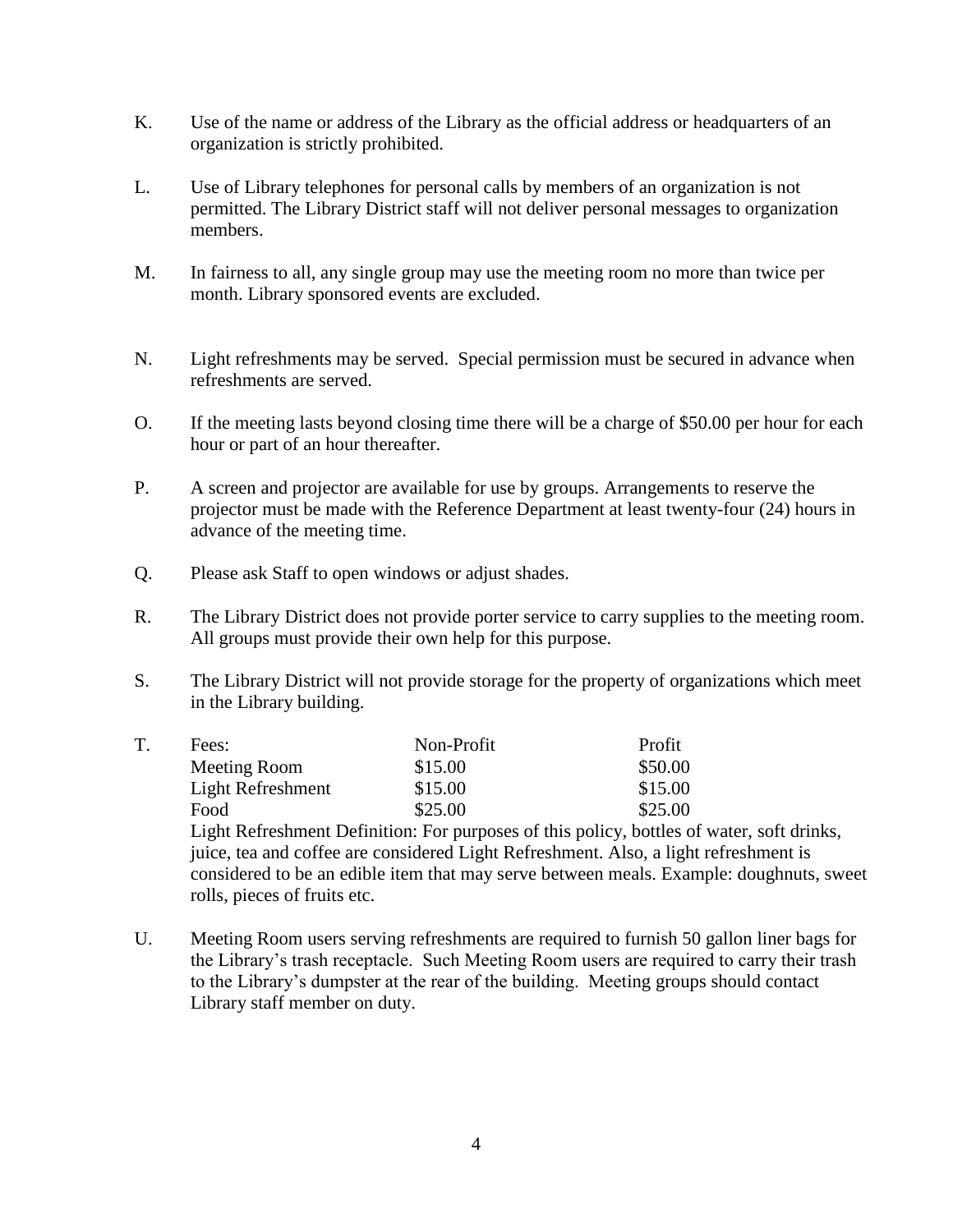- K. Use of the name or address of the Library as the official address or headquarters of an organization is strictly prohibited.
- L. Use of Library telephones for personal calls by members of an organization is not permitted. The Library District staff will not deliver personal messages to organization members.
- M. In fairness to all, any single group may use the meeting room no more than twice per month. Library sponsored events are excluded.
- N. Light refreshments may be served. Special permission must be secured in advance when refreshments are served.
- O. If the meeting lasts beyond closing time there will be a charge of \$50.00 per hour for each hour or part of an hour thereafter.
- P. A screen and projector are available for use by groups. Arrangements to reserve the projector must be made with the Reference Department at least twenty-four (24) hours in advance of the meeting time.
- Q. Please ask Staff to open windows or adjust shades.
- R. The Library District does not provide porter service to carry supplies to the meeting room. All groups must provide their own help for this purpose.
- S. The Library District will not provide storage for the property of organizations which meet in the Library building.

|  | Fees:             | Non-Profit | Profit  |
|--|-------------------|------------|---------|
|  | Meeting Room      | \$15.00    | \$50.00 |
|  | Light Refreshment | \$15.00    | \$15.00 |
|  | Food              | \$25.00    | \$25.00 |

Light Refreshment Definition: For purposes of this policy, bottles of water, soft drinks, juice, tea and coffee are considered Light Refreshment. Also, a light refreshment is considered to be an edible item that may serve between meals. Example: doughnuts, sweet rolls, pieces of fruits etc.

U. Meeting Room users serving refreshments are required to furnish 50 gallon liner bags for the Library's trash receptacle. Such Meeting Room users are required to carry their trash to the Library's dumpster at the rear of the building. Meeting groups should contact Library staff member on duty.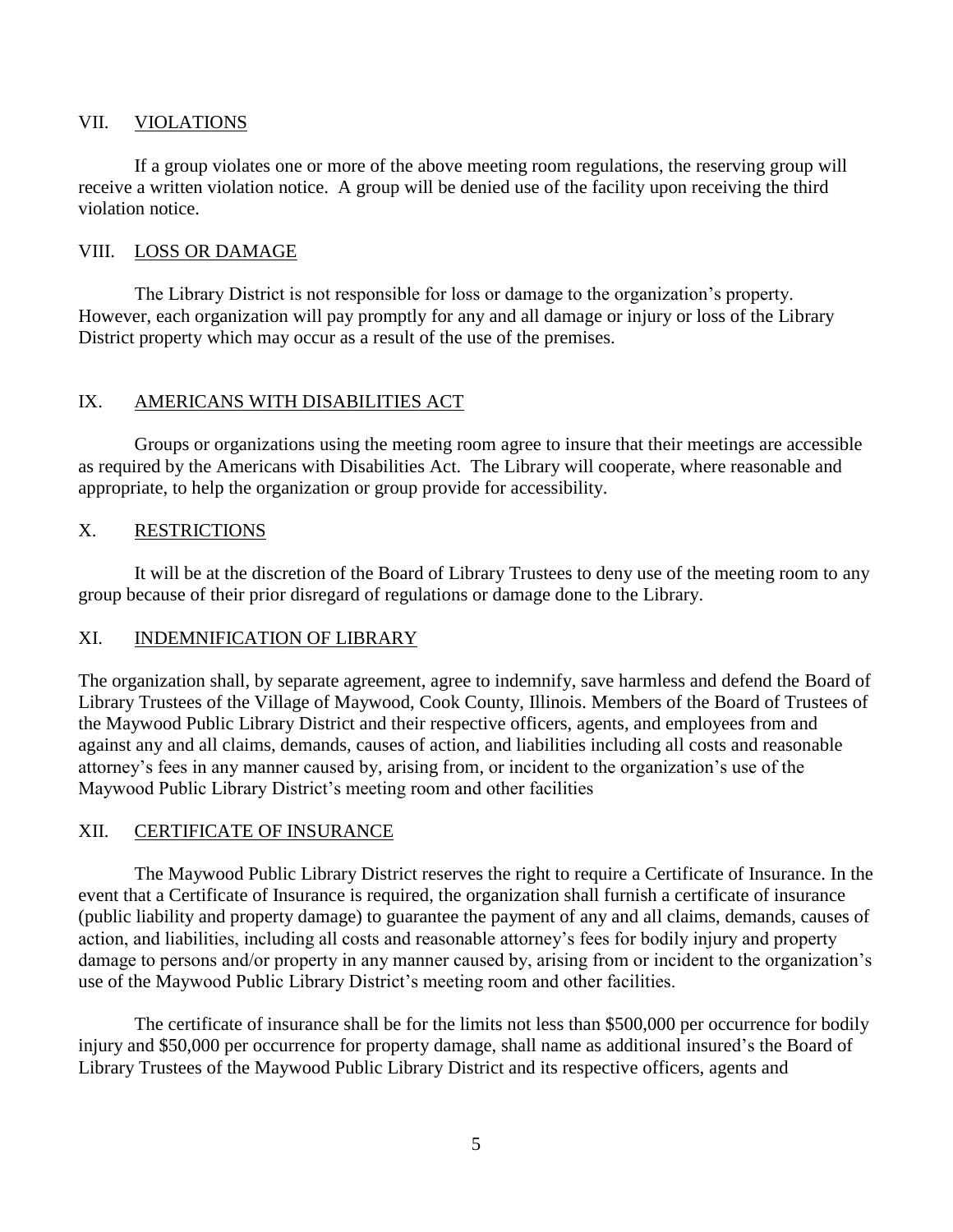#### VII. VIOLATIONS

If a group violates one or more of the above meeting room regulations, the reserving group will receive a written violation notice. A group will be denied use of the facility upon receiving the third violation notice.

#### VIII. LOSS OR DAMAGE

The Library District is not responsible for loss or damage to the organization's property. However, each organization will pay promptly for any and all damage or injury or loss of the Library District property which may occur as a result of the use of the premises.

## IX. AMERICANS WITH DISABILITIES ACT

Groups or organizations using the meeting room agree to insure that their meetings are accessible as required by the Americans with Disabilities Act. The Library will cooperate, where reasonable and appropriate, to help the organization or group provide for accessibility.

## X. RESTRICTIONS

It will be at the discretion of the Board of Library Trustees to deny use of the meeting room to any group because of their prior disregard of regulations or damage done to the Library.

# XI. INDEMNIFICATION OF LIBRARY

The organization shall, by separate agreement, agree to indemnify, save harmless and defend the Board of Library Trustees of the Village of Maywood, Cook County, Illinois. Members of the Board of Trustees of the Maywood Public Library District and their respective officers, agents, and employees from and against any and all claims, demands, causes of action, and liabilities including all costs and reasonable attorney's fees in any manner caused by, arising from, or incident to the organization's use of the Maywood Public Library District's meeting room and other facilities

## XII. CERTIFICATE OF INSURANCE

The Maywood Public Library District reserves the right to require a Certificate of Insurance. In the event that a Certificate of Insurance is required, the organization shall furnish a certificate of insurance (public liability and property damage) to guarantee the payment of any and all claims, demands, causes of action, and liabilities, including all costs and reasonable attorney's fees for bodily injury and property damage to persons and/or property in any manner caused by, arising from or incident to the organization's use of the Maywood Public Library District's meeting room and other facilities.

The certificate of insurance shall be for the limits not less than \$500,000 per occurrence for bodily injury and \$50,000 per occurrence for property damage, shall name as additional insured's the Board of Library Trustees of the Maywood Public Library District and its respective officers, agents and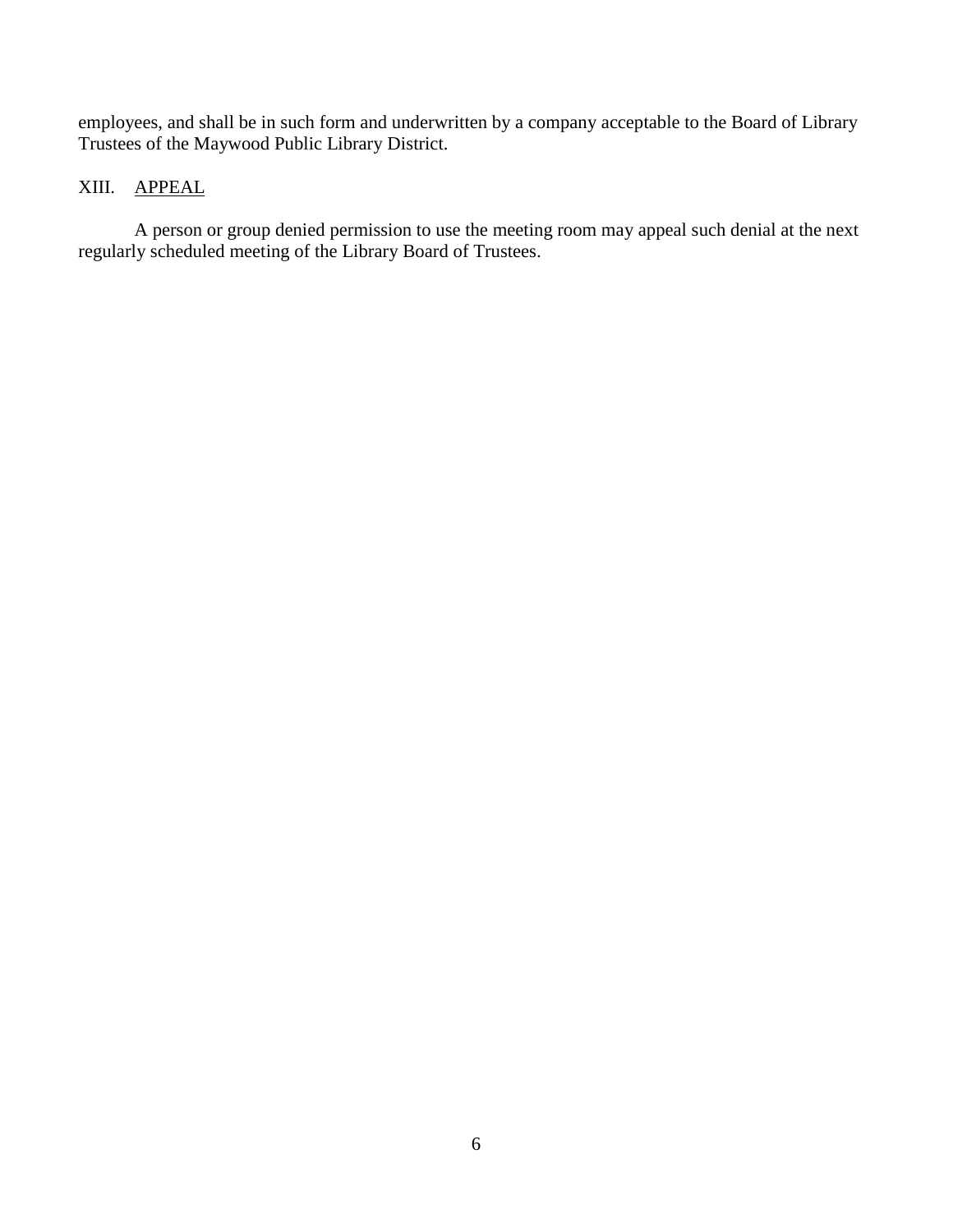employees, and shall be in such form and underwritten by a company acceptable to the Board of Library Trustees of the Maywood Public Library District.

# XIII. APPEAL

A person or group denied permission to use the meeting room may appeal such denial at the next regularly scheduled meeting of the Library Board of Trustees.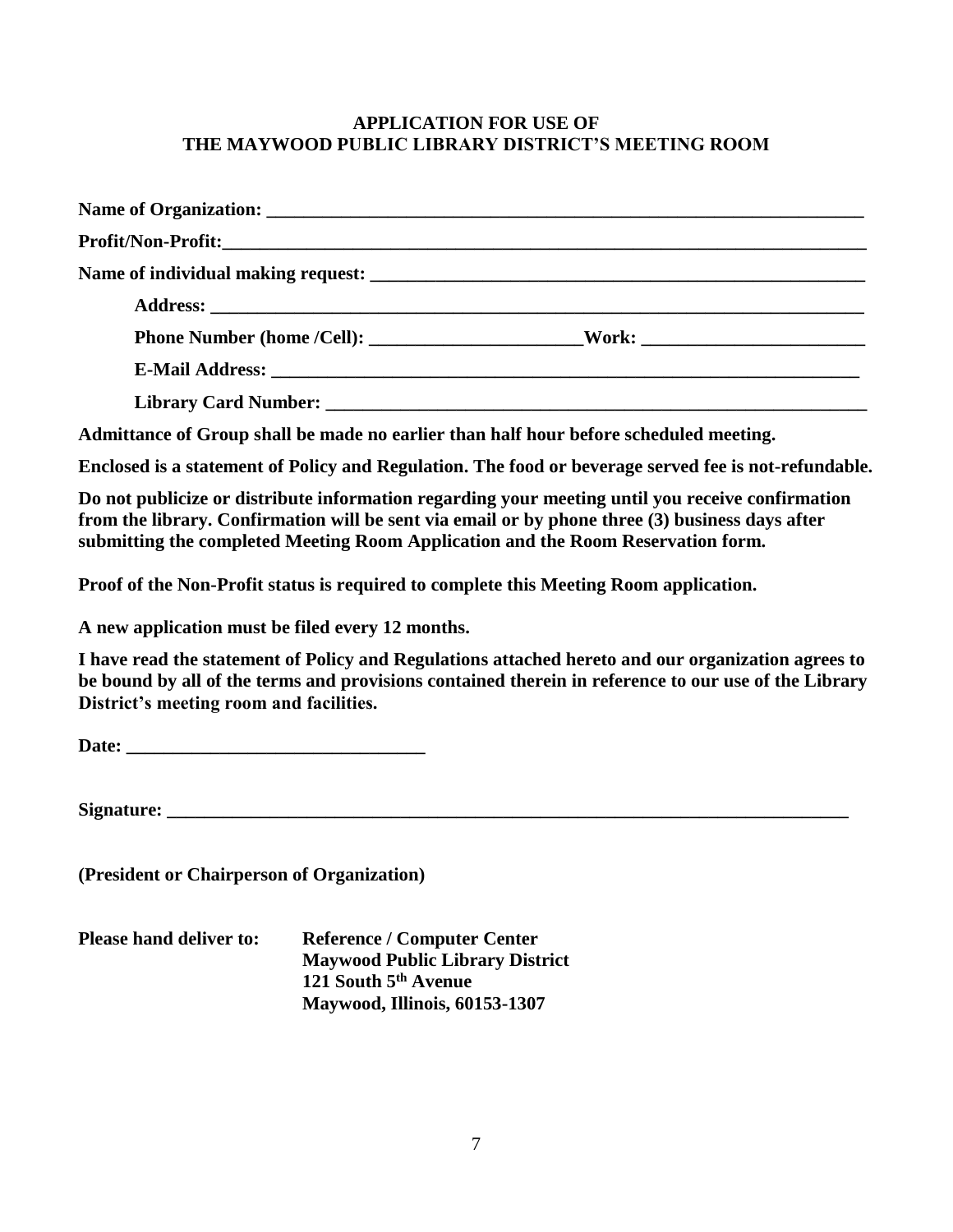# **APPLICATION FOR USE OF THE MAYWOOD PUBLIC LIBRARY DISTRICT'S MEETING ROOM**

| Name of Organization: <u>Name of Organization</u>                                     |                                                                                   |
|---------------------------------------------------------------------------------------|-----------------------------------------------------------------------------------|
|                                                                                       |                                                                                   |
|                                                                                       |                                                                                   |
|                                                                                       |                                                                                   |
|                                                                                       | Phone Number (home /Cell): ___________________________Work: _____________________ |
|                                                                                       |                                                                                   |
|                                                                                       |                                                                                   |
| A LOMB CONTROL TO A LIMIT CONTROL OF PROVIDED AND A LIMIT CONTROL OF A LIMIT CONTROL. |                                                                                   |

**Admittance of Group shall be made no earlier than half hour before scheduled meeting.**

**Enclosed is a statement of Policy and Regulation. The food or beverage served fee is not-refundable.** 

**Do not publicize or distribute information regarding your meeting until you receive confirmation from the library. Confirmation will be sent via email or by phone three (3) business days after submitting the completed Meeting Room Application and the Room Reservation form.** 

**Proof of the Non-Profit status is required to complete this Meeting Room application.** 

**A new application must be filed every 12 months.** 

**I have read the statement of Policy and Regulations attached hereto and our organization agrees to be bound by all of the terms and provisions contained therein in reference to our use of the Library District's meeting room and facilities.**

Date:

**Signature:**  $\blacksquare$ 

**(President or Chairperson of Organization)**

**Please hand deliver to: Reference / Computer Center Maywood Public Library District 121 South 5th Avenue Maywood, Illinois, 60153-1307**